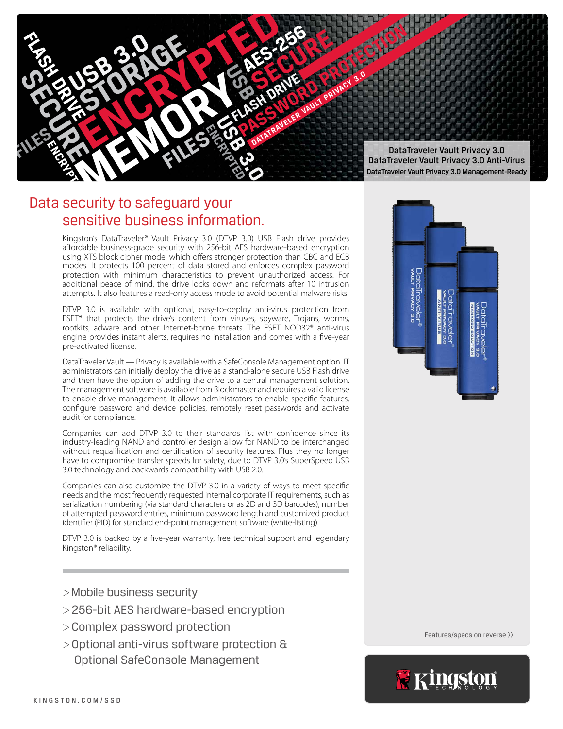

# Data security to safeguard your sensitive business information.

Kingston's DataTraveler® Vault Privacy 3.0 (DTVP 3.0) USB Flash drive provides affordable business-grade security with 256-bit AES hardware-based encryption using XTS block cipher mode, which offers stronger protection than CBC and ECB modes. It protects 100 percent of data stored and enforces complex password protection with minimum characteristics to prevent unauthorized access. For additional peace of mind, the drive locks down and reformats after 10 intrusion attempts. It also features a read-only access mode to avoid potential malware risks.

DTVP 3.0 is available with optional, easy-to-deploy anti-virus protection from ESET\* that protects the drive's content from viruses, spyware, Trojans, worms, rootkits, adware and other Internet-borne threats. The ESET NOD32® anti-virus engine provides instant alerts, requires no installation and comes with a five-year pre-activated license.

DataTraveler Vault — Privacy is available with a SafeConsole Management option. IT administrators can initially deploy the drive as a stand-alone secure USB Flash drive and then have the option of adding the drive to a central management solution. The management software is available from Blockmaster and requires a valid license to enable drive management. It allows administrators to enable specific features, configure password and device policies, remotely reset passwords and activate audit for compliance.

Companies can add DTVP 3.0 to their standards list with confidence since its industry-leading NAND and controller design allow for NAND to be interchanged without requalification and certification of security features. Plus they no longer have to compromise transfer speeds for safety, due to DTVP 3.0's SuperSpeed USB 3.0 technology and backwards compatibility with USB 2.0.

Companies can also customize the DTVP 3.0 in a variety of ways to meet specific needs and the most frequently requested internal corporate IT requirements, such as serialization numbering (via standard characters or as 2D and 3D barcodes), number of attempted password entries, minimum password length and customized product identifier (PID) for standard end-point management software (white-listing).

DTVP 3.0 is backed by a five-year warranty, free technical support and legendary Kingston® reliability.

- >Mobile business security
- >256-bit AES hardware-based encryption
- >Complex password protection
- >Optional anti-virus software protection & Optional SafeConsole Management



Features/specs on reverse >>